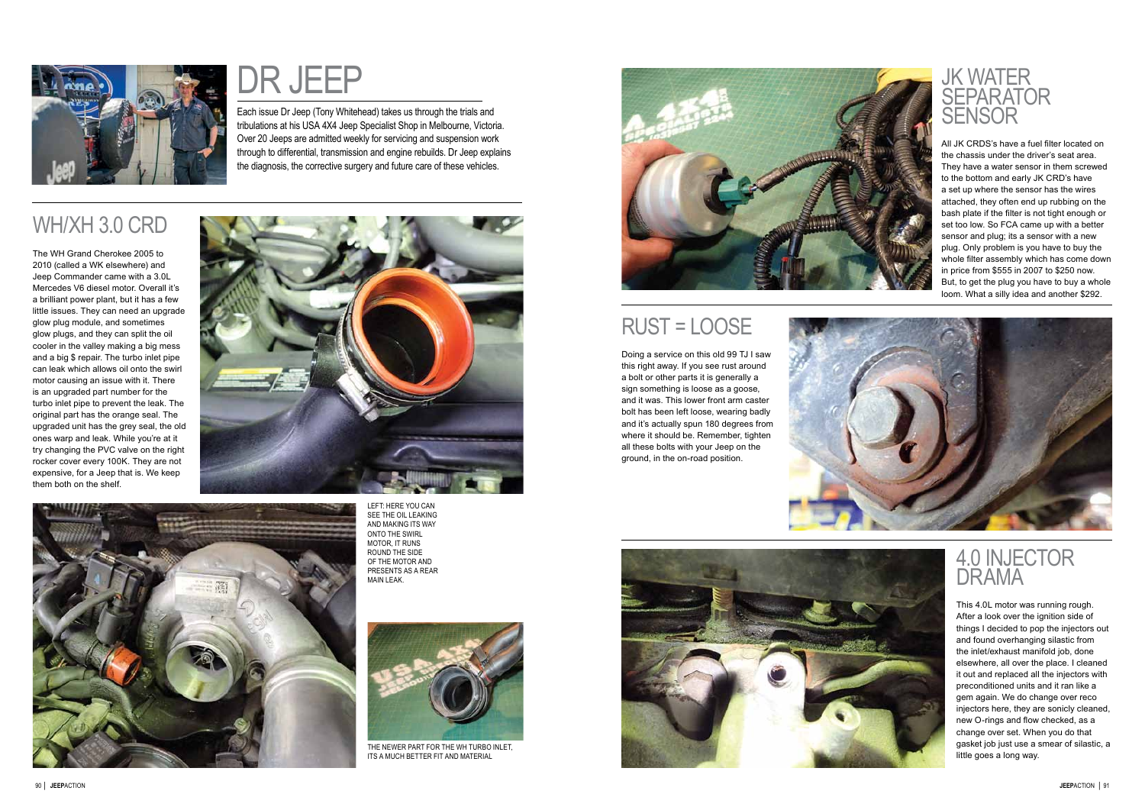

Each issue Dr Jeep ( Tony Whitehead) takes us through the trials and tribulations at his USA 4X4 Jeep Specialist Shop in Melbourne, Victoria. Over 20 Jeeps are admitted weekly for servicing and suspension work through to differential, transmission and engine rebuilds. Dr Jeep explains Each issue Dr Jeep (Tony Whitehead) takes us through the trials and<br>tribulations at his USA 4X4 Jeep Specialist Shop in Melbourne, Victoria<br>Over 20 Jeeps are admitted weekly for servicing and suspension work<br>through to dif

# WH/XH 3.0 CR D

LEFT: HERE YOU CAN SEE THE OIL LEAKING<br>AND MAKING ITS WAY<br>ONTO THE SWIRL MOTOR, IT RUNS ROUND THE SID OF THE MOTOR AND present s as a rear main leak.



THE NEWER PART FOR THE WH TURBO INLET, ITS A MUCH BETTER FIT AND MATERIAL



The WH Grand Cherokee 2005 to 2010 (called a WK elsewhere) and Jeep Commander came with a 3.0L Mercedes V6 diesel motor. Overall it's a brilliant power plant, but it has a few little issues. They can need an upgrade glow plug module, and sometimes glow plugs, and they can split the oil cooler in the valley making a big mess and a big \$ repair. The turbo inlet pipe can leak which allows oil onto the swirl motor causing an issue with it. There is an upgraded part number for the turbo inlet pipe to prevent the leak. The original part has the orange seal. The upgraded unit has the grey seal, the old ones warp and leak. While you're at it try changing the PVC valve on the right rocker cover every 100K. They are not expensive, for a Jeep that is. We keep them both on the shelf.





## rust = loose

Doing a service on this old 99 TJ I saw this right away. If you see rust around a bolt or other parts it is generally a sign something is loose as a goose, and it was. This lower front arm caster bolt has been left loose, wearing badly and it's actually spun 180 degrees from where it should be. Remember, tighten all these bolts with your Jeep on the ground, in the on-road position.







All JK CRDS's have a fuel filter located on the chassis under the driver's seat area. They have a water sensor in them screwed to the bottom and early JK CRD's have a set up where the sensor has the wires attached, they often end up rubbing on the bash plate if the filter is not tight enough or set too low. So FCA came up with a better sensor and plug; its a sensor with a new plug. Only problem is you have to buy the whole filter assembly which has come down in price from \$555 in 2007 to \$250 now. But, to get the plug you have to buy a whole loom. What a silly idea and another \$292.

# 4.0 INJECTOR<br>DRAMA

This 4.0L motor was running rough. After a look over the ignition side of things I decided to pop the injectors out and found overhanging silastic from the inlet/exhaust manifold job, done elsewhere, all over the place. I cleaned it out and replaced all the injectors with preconditioned units and it ran like a gem again. We do change over reco injectors here, they are sonicly cleaned, new O-rings and flow checked, as a change over set. When you do that gasket job just use a smear of silastic, a little goes a long way.